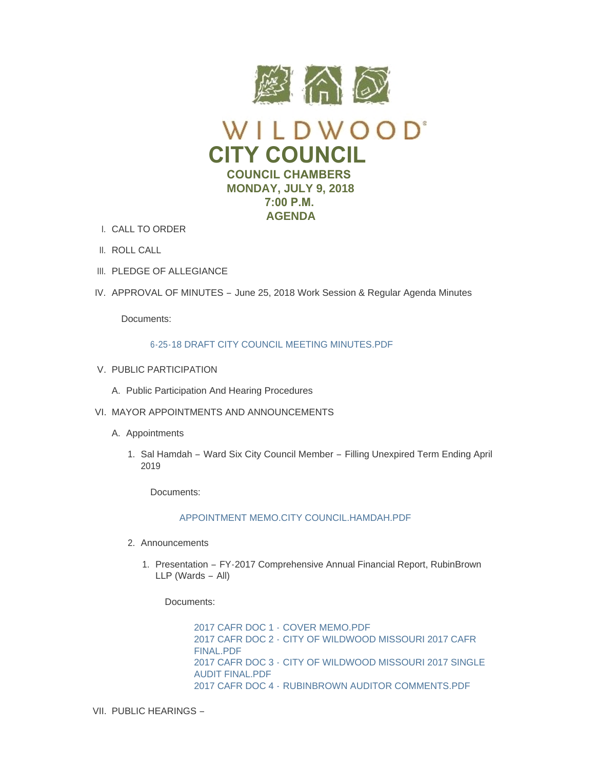

- CALL TO ORDER I.
- II. ROLL CALL
- III. PLEDGE OF ALLEGIANCE
- IV. APPROVAL OF MINUTES June 25, 2018 Work Session & Regular Agenda Minutes

Documents:

# [6-25-18 DRAFT CITY COUNCIL MEETING MINUTES.PDF](https://www.cityofwildwood.com/AgendaCenter/ViewFile/Item/16193?fileID=23723)

- V. PUBLIC PARTICIPATION
	- A. Public Participation And Hearing Procedures
- VI. MAYOR APPOINTMENTS AND ANNOUNCEMENTS
	- A. Appointments
		- 1. Sal Hamdah Ward Six City Council Member Filling Unexpired Term Ending April 2019

Documents:

# [APPOINTMENT MEMO.CITY COUNCIL.HAMDAH.PDF](https://www.cityofwildwood.com/AgendaCenter/ViewFile/Item/16150?fileID=23700)

- 2. Announcements
	- 1. Presentation FY-2017 Comprehensive Annual Financial Report, RubinBrown LLP (Wards – All)

Documents:

2017 CAFR DOC 1 - [COVER MEMO.PDF](https://www.cityofwildwood.com/AgendaCenter/ViewFile/Item/16152?fileID=23711) 2017 CAFR DOC 2 - [CITY OF WILDWOOD MISSOURI 2017 CAFR](https://www.cityofwildwood.com/AgendaCenter/ViewFile/Item/16152?fileID=23712)  FINAL.PDF 2017 CAFR DOC 3 - [CITY OF WILDWOOD MISSOURI 2017 SINGLE](https://www.cityofwildwood.com/AgendaCenter/ViewFile/Item/16152?fileID=23709)  AUDIT FINAL.PDF 2017 CAFR DOC 4 - [RUBINBROWN AUDITOR COMMENTS.PDF](https://www.cityofwildwood.com/AgendaCenter/ViewFile/Item/16152?fileID=23710)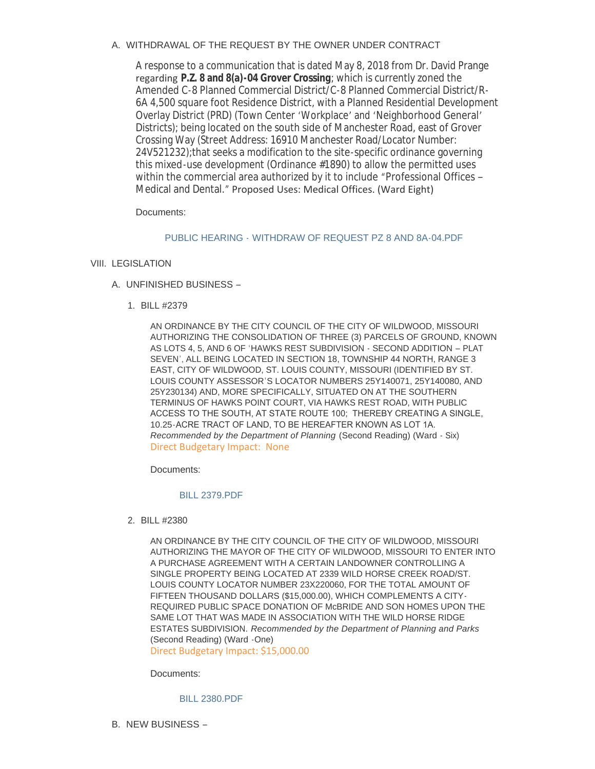A. WITHDRAWAL OF THE REQUEST BY THE OWNER UNDER CONTRACT

A response to a communication that is dated May 8, 2018 from Dr. David Prange regarding **P.Z. 8 and 8(a)-04 Grover Crossing**; which is currently zoned the Amended C-8 Planned Commercial District/C-8 Planned Commercial District/R-6A 4,500 square foot Residence District, with a Planned Residential Development Overlay District (PRD) (Town Center 'Workplace' and 'Neighborhood General' Districts); being located on the south side of Manchester Road, east of Grover Crossing Way (Street Address: 16910 Manchester Road/Locator Number: 24V521232);that seeks a modification to the site-specific ordinance governing this mixed-use development (Ordinance #1890) to allow the permitted uses within the commercial area authorized by it to include "Professional Offices -Medical and Dental." Proposed Uses: Medical Offices. (Ward Eight)

Documents:

# PUBLIC HEARING - [WITHDRAW OF REQUEST PZ 8 AND 8A-04.PDF](https://www.cityofwildwood.com/AgendaCenter/ViewFile/Item/16154?fileID=23701)

- VIII. LEGISLATION
	- UNFINISHED BUSINESS A.
		- BILL #2379 1.

AN ORDINANCE BY THE CITY COUNCIL OF THE CITY OF WILDWOOD, MISSOURI AUTHORIZING THE CONSOLIDATION OF THREE (3) PARCELS OF GROUND, KNOWN AS LOTS 4, 5, AND 6 OF 'HAWKS REST SUBDIVISION - SECOND ADDITION – PLAT SEVEN', ALL BEING LOCATED IN SECTION 18, TOWNSHIP 44 NORTH, RANGE 3 EAST, CITY OF WILDWOOD, ST. LOUIS COUNTY, MISSOURI (IDENTIFIED BY ST. LOUIS COUNTY ASSESSOR'S LOCATOR NUMBERS 25Y140071, 25Y140080, AND 25Y230134) AND, MORE SPECIFICALLY, SITUATED ON AT THE SOUTHERN TERMINUS OF HAWKS POINT COURT, VIA HAWKS REST ROAD, WITH PUBLIC ACCESS TO THE SOUTH, AT STATE ROUTE 100; THEREBY CREATING A SINGLE, 10.25-ACRE TRACT OF LAND, TO BE HEREAFTER KNOWN AS LOT 1A. *Recommended by the Department of Planning* (Second Reading) (Ward - Six) Direct Budgetary Impact: None

Documents:

# [BILL 2379.PDF](https://www.cityofwildwood.com/AgendaCenter/ViewFile/Item/16156?fileID=23702)

BILL #2380 2.

AN ORDINANCE BY THE CITY COUNCIL OF THE CITY OF WILDWOOD, MISSOURI AUTHORIZING THE MAYOR OF THE CITY OF WILDWOOD, MISSOURI TO ENTER INTO A PURCHASE AGREEMENT WITH A CERTAIN LANDOWNER CONTROLLING A SINGLE PROPERTY BEING LOCATED AT 2339 WILD HORSE CREEK ROAD/ST. LOUIS COUNTY LOCATOR NUMBER 23X220060, FOR THE TOTAL AMOUNT OF FIFTEEN THOUSAND DOLLARS (\$15,000.00), WHICH COMPLEMENTS A CITY-REQUIRED PUBLIC SPACE DONATION OF McBRIDE AND SON HOMES UPON THE SAME LOT THAT WAS MADE IN ASSOCIATION WITH THE WILD HORSE RIDGE ESTATES SUBDIVISION. *Recommended by the Department of Planning and Parks*  (Second Reading) (Ward -One)

Direct Budgetary Impact: \$15,000.00

Documents:

[BILL 2380.PDF](https://www.cityofwildwood.com/AgendaCenter/ViewFile/Item/16157?fileID=23703)

B. NEW BUSINESS –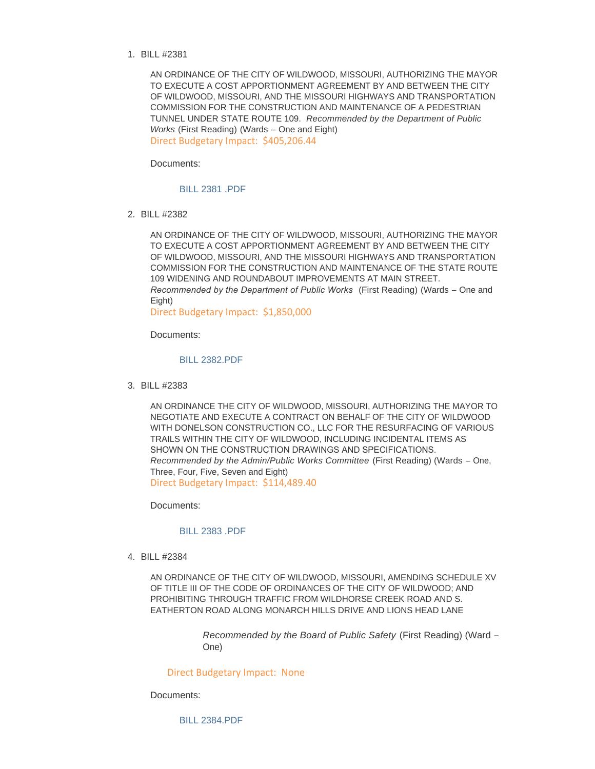BILL #2381 1.

AN ORDINANCE OF THE CITY OF WILDWOOD, MISSOURI, AUTHORIZING THE MAYOR TO EXECUTE A COST APPORTIONMENT AGREEMENT BY AND BETWEEN THE CITY OF WILDWOOD, MISSOURI, AND THE MISSOURI HIGHWAYS AND TRANSPORTATION COMMISSION FOR THE CONSTRUCTION AND MAINTENANCE OF A PEDESTRIAN TUNNEL UNDER STATE ROUTE 109. *Recommended by the Department of Public Works* (First Reading) (Wards – One and Eight) Direct Budgetary Impact: \$405,206.44

Documents:

[BILL 2381 .PDF](https://www.cityofwildwood.com/AgendaCenter/ViewFile/Item/16159?fileID=23713)

BILL #2382 2.

AN ORDINANCE OF THE CITY OF WILDWOOD, MISSOURI, AUTHORIZING THE MAYOR TO EXECUTE A COST APPORTIONMENT AGREEMENT BY AND BETWEEN THE CITY OF WILDWOOD, MISSOURI, AND THE MISSOURI HIGHWAYS AND TRANSPORTATION COMMISSION FOR THE CONSTRUCTION AND MAINTENANCE OF THE STATE ROUTE 109 WIDENING AND ROUNDABOUT IMPROVEMENTS AT MAIN STREET. *Recommended by the Department of Public Works* (First Reading) (Wards – One and Eight)

Direct Budgetary Impact: \$1,850,000

Documents:

# [BILL 2382.PDF](https://www.cityofwildwood.com/AgendaCenter/ViewFile/Item/16160?fileID=23714)

BILL #2383 3.

AN ORDINANCE THE CITY OF WILDWOOD, MISSOURI, AUTHORIZING THE MAYOR TO NEGOTIATE AND EXECUTE A CONTRACT ON BEHALF OF THE CITY OF WILDWOOD WITH DONELSON CONSTRUCTION CO., LLC FOR THE RESURFACING OF VARIOUS TRAILS WITHIN THE CITY OF WILDWOOD, INCLUDING INCIDENTAL ITEMS AS SHOWN ON THE CONSTRUCTION DRAWINGS AND SPECIFICATIONS. *Recommended by the Admin/Public Works Committee* (First Reading) (Wards – One, Three, Four, Five, Seven and Eight) Direct Budgetary Impact: \$114,489.40

Documents:

### [BILL 2383 .PDF](https://www.cityofwildwood.com/AgendaCenter/ViewFile/Item/16161?fileID=23715)

BILL #2384 4.

AN ORDINANCE OF THE CITY OF WILDWOOD, MISSOURI, AMENDING SCHEDULE XV OF TITLE III OF THE CODE OF ORDINANCES OF THE CITY OF WILDWOOD; AND PROHIBITING THROUGH TRAFFIC FROM WILDHORSE CREEK ROAD AND S. EATHERTON ROAD ALONG MONARCH HILLS DRIVE AND LIONS HEAD LANE

> *Recommended by the Board of Public Safety* (First Reading) (Ward – One)

Direct Budgetary Impact: None

Documents:

[BILL 2384.PDF](https://www.cityofwildwood.com/AgendaCenter/ViewFile/Item/16162?fileID=23716)